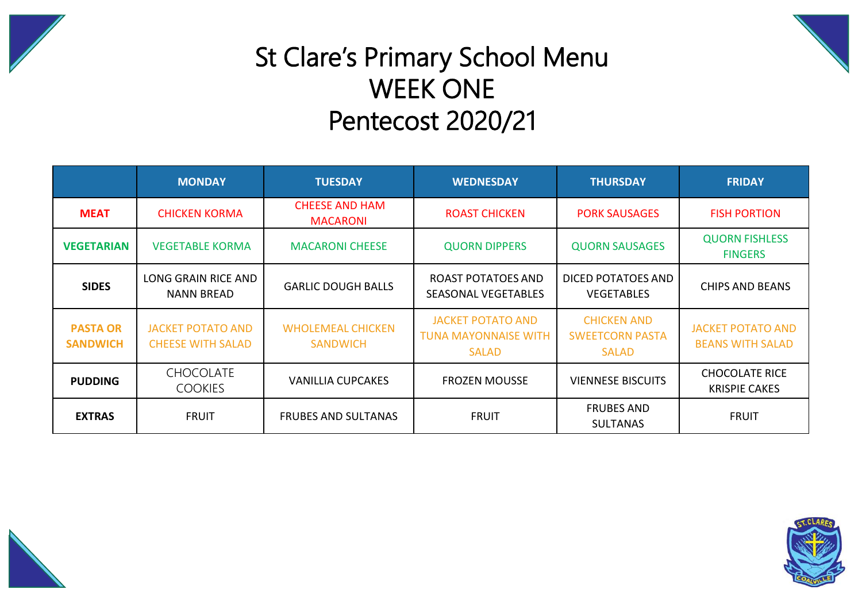



## St Clare's Primary School Menu WEEK ONE Pentecost 2020/21

|                                    | <b>MONDAY</b>                                        | <b>TUESDAY</b>                              | <b>WEDNESDAY</b>                                                        | <b>THURSDAY</b>                                              | <b>FRIDAY</b>                                       |  |
|------------------------------------|------------------------------------------------------|---------------------------------------------|-------------------------------------------------------------------------|--------------------------------------------------------------|-----------------------------------------------------|--|
| <b>MEAT</b>                        | <b>CHICKEN KORMA</b>                                 | <b>CHEESE AND HAM</b><br><b>MACARONI</b>    | <b>ROAST CHICKEN</b>                                                    | <b>PORK SAUSAGES</b>                                         | <b>FISH PORTION</b>                                 |  |
| <b>VEGETARIAN</b>                  | <b>VEGETABLE KORMA</b>                               | <b>MACARONI CHEESE</b>                      | <b>QUORN DIPPERS</b>                                                    | <b>QUORN SAUSAGES</b>                                        | <b>QUORN FISHLESS</b><br><b>FINGERS</b>             |  |
| <b>SIDES</b>                       | LONG GRAIN RICE AND<br><b>NANN BREAD</b>             | <b>GARLIC DOUGH BALLS</b>                   | ROAST POTATOES AND<br><b>SEASONAL VEGETABLES</b>                        | DICED POTATOES AND<br><b>VEGETABLES</b>                      | CHIPS AND BEANS                                     |  |
| <b>PASTA OR</b><br><b>SANDWICH</b> | <b>JACKET POTATO AND</b><br><b>CHEESE WITH SALAD</b> | <b>WHOLEMEAL CHICKEN</b><br><b>SANDWICH</b> | <b>JACKET POTATO AND</b><br><b>TUNA MAYONNAISE WITH</b><br><b>SALAD</b> | <b>CHICKEN AND</b><br><b>SWEETCORN PASTA</b><br><b>SALAD</b> | <b>JACKET POTATO AND</b><br><b>BEANS WITH SALAD</b> |  |
| <b>PUDDING</b>                     | <b>CHOCOLATE</b><br><b>COOKIES</b>                   | <b>VANILLIA CUPCAKES</b>                    | <b>FROZEN MOUSSE</b>                                                    | <b>VIENNESE BISCUITS</b>                                     | <b>CHOCOLATE RICE</b><br><b>KRISPIE CAKES</b>       |  |
| <b>EXTRAS</b>                      | <b>FRUIT</b>                                         | <b>FRUBES AND SULTANAS</b>                  | <b>FRUIT</b>                                                            | <b>FRUBES AND</b><br><b>SULTANAS</b>                         | <b>FRUIT</b>                                        |  |